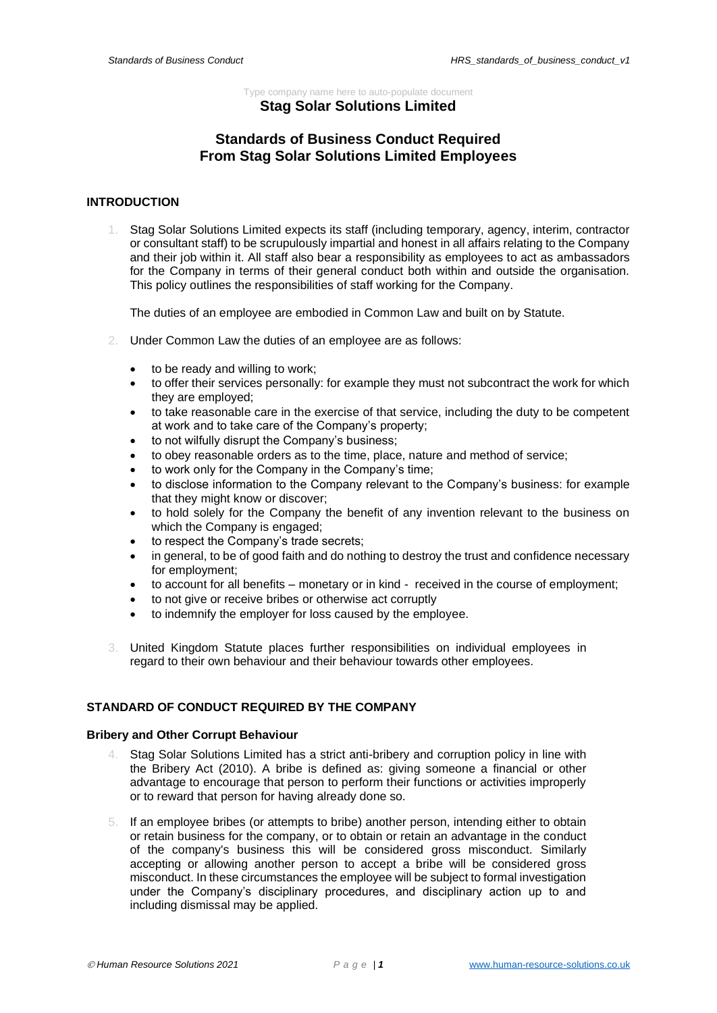Type company name here to auto-populate document **Stag Solar Solutions Limited**

# **Standards of Business Conduct Required From Stag Solar Solutions Limited Employees**

## **INTRODUCTION**

1. Stag Solar Solutions Limited expects its staff (including temporary, agency, interim, contractor or consultant staff) to be scrupulously impartial and honest in all affairs relating to the Company and their job within it. All staff also bear a responsibility as employees to act as ambassadors for the Company in terms of their general conduct both within and outside the organisation. This policy outlines the responsibilities of staff working for the Company.

The duties of an employee are embodied in Common Law and built on by Statute.

- 2. Under Common Law the duties of an employee are as follows:
	- to be ready and willing to work;
	- to offer their services personally: for example they must not subcontract the work for which they are employed;
	- to take reasonable care in the exercise of that service, including the duty to be competent at work and to take care of the Company's property;
	- to not wilfully disrupt the Company's business;
	- to obey reasonable orders as to the time, place, nature and method of service;
	- to work only for the Company in the Company's time;
	- to disclose information to the Company relevant to the Company's business: for example that they might know or discover;
	- to hold solely for the Company the benefit of any invention relevant to the business on which the Company is engaged;
	- to respect the Company's trade secrets;
	- in general, to be of good faith and do nothing to destroy the trust and confidence necessary for employment;
	- to account for all benefits monetary or in kind received in the course of employment;
	- to not give or receive bribes or otherwise act corruptly
	- to indemnify the employer for loss caused by the employee.
- 3. United Kingdom Statute places further responsibilities on individual employees in regard to their own behaviour and their behaviour towards other employees.

## **STANDARD OF CONDUCT REQUIRED BY THE COMPANY**

## **Bribery and Other Corrupt Behaviour**

- 4. Stag Solar Solutions Limited has a strict anti-bribery and corruption policy in line with the Bribery Act (2010). A bribe is defined as: giving someone a financial or other advantage to encourage that person to perform their functions or activities improperly or to reward that person for having already done so.
- 5. If an employee bribes (or attempts to bribe) another person, intending either to obtain or retain business for the company, or to obtain or retain an advantage in the conduct of the company's business this will be considered gross misconduct. Similarly accepting or allowing another person to accept a bribe will be considered gross misconduct. In these circumstances the employee will be subject to formal investigation under the Company's disciplinary procedures, and disciplinary action up to and including dismissal may be applied.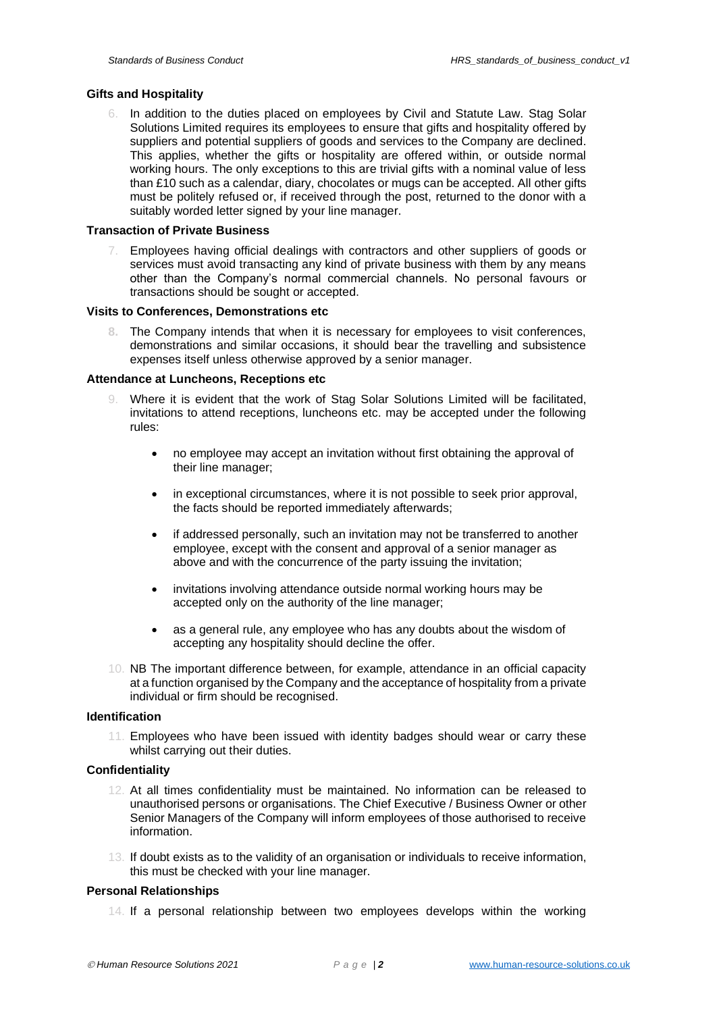## **Gifts and Hospitality**

6. In addition to the duties placed on employees by Civil and Statute Law. Stag Solar Solutions Limited requires its employees to ensure that gifts and hospitality offered by suppliers and potential suppliers of goods and services to the Company are declined. This applies, whether the gifts or hospitality are offered within, or outside normal working hours. The only exceptions to this are trivial gifts with a nominal value of less than £10 such as a calendar, diary, chocolates or mugs can be accepted. All other gifts must be politely refused or, if received through the post, returned to the donor with a suitably worded letter signed by your line manager.

## **Transaction of Private Business**

7. Employees having official dealings with contractors and other suppliers of goods or services must avoid transacting any kind of private business with them by any means other than the Company's normal commercial channels. No personal favours or transactions should be sought or accepted.

## **Visits to Conferences, Demonstrations etc**

**8.** The Company intends that when it is necessary for employees to visit conferences, demonstrations and similar occasions, it should bear the travelling and subsistence expenses itself unless otherwise approved by a senior manager.

#### **Attendance at Luncheons, Receptions etc**

- 9. Where it is evident that the work of Stag Solar Solutions Limited will be facilitated, invitations to attend receptions, luncheons etc. may be accepted under the following rules:
	- no employee may accept an invitation without first obtaining the approval of their line manager;
	- in exceptional circumstances, where it is not possible to seek prior approval, the facts should be reported immediately afterwards;
	- if addressed personally, such an invitation may not be transferred to another employee, except with the consent and approval of a senior manager as above and with the concurrence of the party issuing the invitation;
	- invitations involving attendance outside normal working hours may be accepted only on the authority of the line manager;
	- as a general rule, any employee who has any doubts about the wisdom of accepting any hospitality should decline the offer.
- 10. NB The important difference between, for example, attendance in an official capacity at a function organised by the Companyand the acceptance of hospitality from a private individual or firm should be recognised.

#### **Identification**

11. Employees who have been issued with identity badges should wear or carry these whilst carrying out their duties.

## **Confidentiality**

- 12. At all times confidentiality must be maintained. No information can be released to unauthorised persons or organisations. The Chief Executive / Business Owner or other Senior Managers of the Company will inform employees of those authorised to receive information.
- 13. If doubt exists as to the validity of an organisation or individuals to receive information, this must be checked with your line manager.

## **Personal Relationships**

14. If a personal relationship between two employees develops within the working